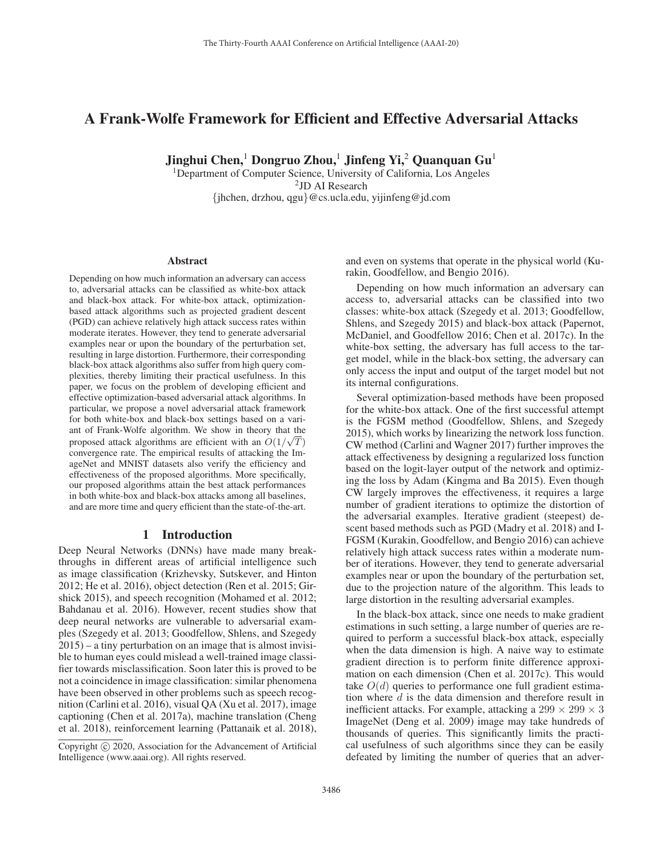# A Frank-Wolfe Framework for Efficient and Effective Adversarial Attacks

Jinghui Chen,<sup>1</sup> Dongruo Zhou,<sup>1</sup> Jinfeng Yi,<sup>2</sup> Quanquan Gu<sup>1</sup>

<sup>1</sup>Department of Computer Science, University of California, Los Angeles <sup>2</sup>JD AI Research {jhchen, drzhou, qgu}@cs.ucla.edu, yijinfeng@jd.com

#### Abstract

Depending on how much information an adversary can access to, adversarial attacks can be classified as white-box attack and black-box attack. For white-box attack, optimizationbased attack algorithms such as projected gradient descent (PGD) can achieve relatively high attack success rates within moderate iterates. However, they tend to generate adversarial examples near or upon the boundary of the perturbation set, resulting in large distortion. Furthermore, their corresponding black-box attack algorithms also suffer from high query complexities, thereby limiting their practical usefulness. In this paper, we focus on the problem of developing efficient and effective optimization-based adversarial attack algorithms. In particular, we propose a novel adversarial attack framework for both white-box and black-box settings based on a variant of Frank-Wolfe algorithm. We show in theory that the proposed attack algorithms are efficient with an  $O(1/\sqrt{T})$ convergence rate. The empirical results of attacking the ImageNet and MNIST datasets also verify the efficiency and effectiveness of the proposed algorithms. More specifically, our proposed algorithms attain the best attack performances in both white-box and black-box attacks among all baselines, and are more time and query efficient than the state-of-the-art.

# 1 Introduction

Deep Neural Networks (DNNs) have made many breakthroughs in different areas of artificial intelligence such as image classification (Krizhevsky, Sutskever, and Hinton 2012; He et al. 2016), object detection (Ren et al. 2015; Girshick 2015), and speech recognition (Mohamed et al. 2012; Bahdanau et al. 2016). However, recent studies show that deep neural networks are vulnerable to adversarial examples (Szegedy et al. 2013; Goodfellow, Shlens, and Szegedy 2015) – a tiny perturbation on an image that is almost invisible to human eyes could mislead a well-trained image classifier towards misclassification. Soon later this is proved to be not a coincidence in image classification: similar phenomena have been observed in other problems such as speech recognition (Carlini et al. 2016), visual QA (Xu et al. 2017), image captioning (Chen et al. 2017a), machine translation (Cheng et al. 2018), reinforcement learning (Pattanaik et al. 2018),

and even on systems that operate in the physical world (Kurakin, Goodfellow, and Bengio 2016).

Depending on how much information an adversary can access to, adversarial attacks can be classified into two classes: white-box attack (Szegedy et al. 2013; Goodfellow, Shlens, and Szegedy 2015) and black-box attack (Papernot, McDaniel, and Goodfellow 2016; Chen et al. 2017c). In the white-box setting, the adversary has full access to the target model, while in the black-box setting, the adversary can only access the input and output of the target model but not its internal configurations.

Several optimization-based methods have been proposed for the white-box attack. One of the first successful attempt is the FGSM method (Goodfellow, Shlens, and Szegedy 2015), which works by linearizing the network loss function. CW method (Carlini and Wagner 2017) further improves the attack effectiveness by designing a regularized loss function based on the logit-layer output of the network and optimizing the loss by Adam (Kingma and Ba 2015). Even though CW largely improves the effectiveness, it requires a large number of gradient iterations to optimize the distortion of the adversarial examples. Iterative gradient (steepest) descent based methods such as PGD (Madry et al. 2018) and I-FGSM (Kurakin, Goodfellow, and Bengio 2016) can achieve relatively high attack success rates within a moderate number of iterations. However, they tend to generate adversarial examples near or upon the boundary of the perturbation set, due to the projection nature of the algorithm. This leads to large distortion in the resulting adversarial examples.

In the black-box attack, since one needs to make gradient estimations in such setting, a large number of queries are required to perform a successful black-box attack, especially when the data dimension is high. A naive way to estimate gradient direction is to perform finite difference approximation on each dimension (Chen et al. 2017c). This would take  $O(d)$  queries to performance one full gradient estimation where d is the data dimension and therefore result in inefficient attacks. For example, attacking a  $299 \times 299 \times 3$ ImageNet (Deng et al. 2009) image may take hundreds of thousands of queries. This significantly limits the practical usefulness of such algorithms since they can be easily defeated by limiting the number of queries that an adver-

Copyright © 2020, Association for the Advancement of Artificial Intelligence (www.aaai.org). All rights reserved.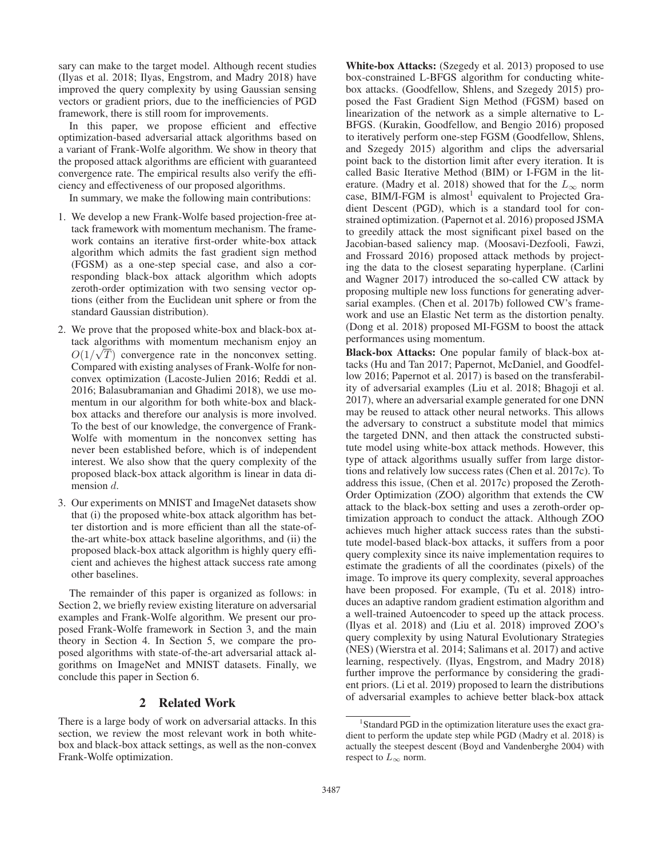sary can make to the target model. Although recent studies (Ilyas et al. 2018; Ilyas, Engstrom, and Madry 2018) have improved the query complexity by using Gaussian sensing vectors or gradient priors, due to the inefficiencies of PGD framework, there is still room for improvements.

In this paper, we propose efficient and effective optimization-based adversarial attack algorithms based on a variant of Frank-Wolfe algorithm. We show in theory that the proposed attack algorithms are efficient with guaranteed convergence rate. The empirical results also verify the efficiency and effectiveness of our proposed algorithms.

In summary, we make the following main contributions:

- 1. We develop a new Frank-Wolfe based projection-free attack framework with momentum mechanism. The framework contains an iterative first-order white-box attack algorithm which admits the fast gradient sign method (FGSM) as a one-step special case, and also a corresponding black-box attack algorithm which adopts zeroth-order optimization with two sensing vector options (either from the Euclidean unit sphere or from the standard Gaussian distribution).
- 2. We prove that the proposed white-box and black-box attack algorithms with momentum mechanism enjoy an  $\frac{1}{2}$  $O(1/\sqrt{T})$  convergence rate in the nonconvex setting.<br>Compared with existing analyses of Frank-Wolfe for non-Compared with existing analyses of Frank-Wolfe for nonconvex optimization (Lacoste-Julien 2016; Reddi et al. 2016; Balasubramanian and Ghadimi 2018), we use momentum in our algorithm for both white-box and blackbox attacks and therefore our analysis is more involved. To the best of our knowledge, the convergence of Frank-Wolfe with momentum in the nonconvex setting has never been established before, which is of independent interest. We also show that the query complexity of the proposed black-box attack algorithm is linear in data dimension d.
- 3. Our experiments on MNIST and ImageNet datasets show that (i) the proposed white-box attack algorithm has better distortion and is more efficient than all the state-ofthe-art white-box attack baseline algorithms, and (ii) the proposed black-box attack algorithm is highly query efficient and achieves the highest attack success rate among other baselines.

The remainder of this paper is organized as follows: in Section 2, we briefly review existing literature on adversarial examples and Frank-Wolfe algorithm. We present our proposed Frank-Wolfe framework in Section 3, and the main theory in Section 4. In Section 5, we compare the proposed algorithms with state-of-the-art adversarial attack algorithms on ImageNet and MNIST datasets. Finally, we conclude this paper in Section 6.

## 2 Related Work

There is a large body of work on adversarial attacks. In this section, we review the most relevant work in both whitebox and black-box attack settings, as well as the non-convex Frank-Wolfe optimization.

White-box Attacks: (Szegedy et al. 2013) proposed to use box-constrained L-BFGS algorithm for conducting whitebox attacks. (Goodfellow, Shlens, and Szegedy 2015) proposed the Fast Gradient Sign Method (FGSM) based on linearization of the network as a simple alternative to L-BFGS. (Kurakin, Goodfellow, and Bengio 2016) proposed to iteratively perform one-step FGSM (Goodfellow, Shlens, and Szegedy 2015) algorithm and clips the adversarial point back to the distortion limit after every iteration. It is called Basic Iterative Method (BIM) or I-FGM in the literature. (Madry et al. 2018) showed that for the  $L_{\infty}$  norm case, BIM/I-FGM is almost<sup>1</sup> equivalent to Projected Gradient Descent (PGD), which is a standard tool for constrained optimization. (Papernot et al. 2016) proposed JSMA to greedily attack the most significant pixel based on the Jacobian-based saliency map. (Moosavi-Dezfooli, Fawzi, and Frossard 2016) proposed attack methods by projecting the data to the closest separating hyperplane. (Carlini and Wagner 2017) introduced the so-called CW attack by proposing multiple new loss functions for generating adversarial examples. (Chen et al. 2017b) followed CW's framework and use an Elastic Net term as the distortion penalty. (Dong et al. 2018) proposed MI-FGSM to boost the attack performances using momentum.

Black-box Attacks: One popular family of black-box attacks (Hu and Tan 2017; Papernot, McDaniel, and Goodfellow 2016; Papernot et al. 2017) is based on the transferability of adversarial examples (Liu et al. 2018; Bhagoji et al. 2017), where an adversarial example generated for one DNN may be reused to attack other neural networks. This allows the adversary to construct a substitute model that mimics the targeted DNN, and then attack the constructed substitute model using white-box attack methods. However, this type of attack algorithms usually suffer from large distortions and relatively low success rates (Chen et al. 2017c). To address this issue, (Chen et al. 2017c) proposed the Zeroth-Order Optimization (ZOO) algorithm that extends the CW attack to the black-box setting and uses a zeroth-order optimization approach to conduct the attack. Although ZOO achieves much higher attack success rates than the substitute model-based black-box attacks, it suffers from a poor query complexity since its naive implementation requires to estimate the gradients of all the coordinates (pixels) of the image. To improve its query complexity, several approaches have been proposed. For example, (Tu et al. 2018) introduces an adaptive random gradient estimation algorithm and a well-trained Autoencoder to speed up the attack process. (Ilyas et al. 2018) and (Liu et al. 2018) improved ZOO's query complexity by using Natural Evolutionary Strategies (NES) (Wierstra et al. 2014; Salimans et al. 2017) and active learning, respectively. (Ilyas, Engstrom, and Madry 2018) further improve the performance by considering the gradient priors. (Li et al. 2019) proposed to learn the distributions of adversarial examples to achieve better black-box attack

<sup>&</sup>lt;sup>1</sup> Standard PGD in the optimization literature uses the exact gradient to perform the update step while PGD (Madry et al. 2018) is actually the steepest descent (Boyd and Vandenberghe 2004) with respect to  $L_{\infty}$  norm.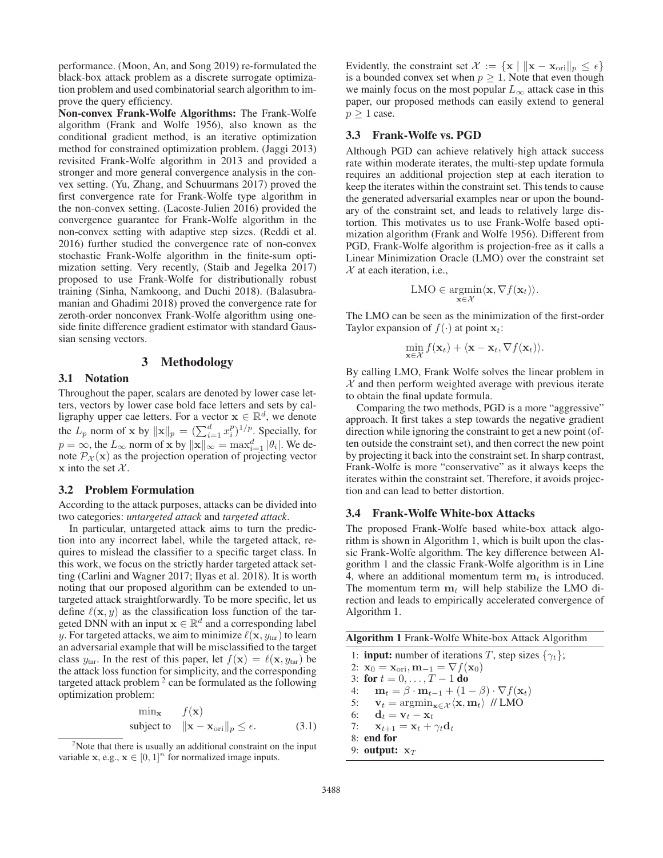performance. (Moon, An, and Song 2019) re-formulated the black-box attack problem as a discrete surrogate optimization problem and used combinatorial search algorithm to improve the query efficiency.

Non-convex Frank-Wolfe Algorithms: The Frank-Wolfe algorithm (Frank and Wolfe 1956), also known as the conditional gradient method, is an iterative optimization method for constrained optimization problem. (Jaggi 2013) revisited Frank-Wolfe algorithm in 2013 and provided a stronger and more general convergence analysis in the convex setting. (Yu, Zhang, and Schuurmans 2017) proved the first convergence rate for Frank-Wolfe type algorithm in the non-convex setting. (Lacoste-Julien 2016) provided the convergence guarantee for Frank-Wolfe algorithm in the non-convex setting with adaptive step sizes. (Reddi et al. 2016) further studied the convergence rate of non-convex stochastic Frank-Wolfe algorithm in the finite-sum optimization setting. Very recently, (Staib and Jegelka 2017) proposed to use Frank-Wolfe for distributionally robust training (Sinha, Namkoong, and Duchi 2018). (Balasubramanian and Ghadimi 2018) proved the convergence rate for zeroth-order nonconvex Frank-Wolfe algorithm using oneside finite difference gradient estimator with standard Gaussian sensing vectors.

#### 3 Methodology

# 3.1 Notation

Throughout the paper, scalars are denoted by lower case letters, vectors by lower case bold face letters and sets by calligraphy upper cae letters. For a vector  $\mathbf{x} \in \mathbb{R}^d$ , we denote the  $L_p$  norm of **x** by  $\|\mathbf{x}\|_p = (\sum_{i=1}^d x_i^p)^{1/p}$ . Specially, for  $p = \infty$ , the  $L_{\infty}$  norm of **x** by  $||\mathbf{x}||_{\infty} = \max_{i=1}^{d} |\theta_i|$ . We denote  $\mathcal{P}_{\mathcal{Y}}(\mathbf{x})$  as the projection operation of projecting vector note  $\mathcal{P}_{\mathcal{X}}(\mathbf{x})$  as the projection operation of projecting vector  $\bf{x}$  into the set  $\mathcal{X}$ .

#### 3.2 Problem Formulation

According to the attack purposes, attacks can be divided into two categories: *untargeted attack* and *targeted attack*.

In particular, untargeted attack aims to turn the prediction into any incorrect label, while the targeted attack, requires to mislead the classifier to a specific target class. In this work, we focus on the strictly harder targeted attack setting (Carlini and Wagner 2017; Ilyas et al. 2018). It is worth noting that our proposed algorithm can be extended to untargeted attack straightforwardly. To be more specific, let us define  $\ell(\mathbf{x}, y)$  as the classification loss function of the targeted DNN with an input  $\mathbf{x} \in \mathbb{R}^d$  and a corresponding label y. For targeted attacks, we aim to minimize  $\ell(\mathbf{x}, y_{\text{tar}})$  to learn an adversarial example that will be misclassified to the target class  $y_{\text{tar}}$ . In the rest of this paper, let  $f(\mathbf{x}) = \ell(\mathbf{x}, y_{\text{tar}})$  be the attack loss function for simplicity, and the corresponding targeted attack problem  $2$  can be formulated as the following optimization problem:

$$
\min_{\mathbf{x}} \quad f(\mathbf{x})
$$
\n
$$
\text{subject to} \quad \|\mathbf{x} - \mathbf{x}_{\text{ori}}\|_{p} \le \epsilon. \tag{3.1}
$$

Evidently, the constraint set  $\mathcal{X} := \{ \mathbf{x} \mid ||\mathbf{x} - \mathbf{x}_{\text{ori}}||_p \leq \epsilon \}$ is a bounded convex set when  $p \geq 1$ . Note that even though we mainly focus on the most popular  $L_{\infty}$  attack case in this paper, our proposed methods can easily extend to general  $p \geq 1$  case.

#### 3.3 Frank-Wolfe vs. PGD

Although PGD can achieve relatively high attack success rate within moderate iterates, the multi-step update formula requires an additional projection step at each iteration to keep the iterates within the constraint set. This tends to cause the generated adversarial examples near or upon the boundary of the constraint set, and leads to relatively large distortion. This motivates us to use Frank-Wolfe based optimization algorithm (Frank and Wolfe 1956). Different from PGD, Frank-Wolfe algorithm is projection-free as it calls a Linear Minimization Oracle (LMO) over the constraint set  $X$  at each iteration, i.e.,

$$
LMO \in \underset{\mathbf{x} \in \mathcal{X}}{\operatorname{argmin}} \langle \mathbf{x}, \nabla f(\mathbf{x}_t) \rangle.
$$

The LMO can be seen as the minimization of the first-order Taylor expansion of  $f(\cdot)$  at point  $x_t$ :

$$
\min_{\mathbf{x}\in\mathcal{X}}f(\mathbf{x}_t)+\langle\mathbf{x}-\mathbf{x}_t,\nabla f(\mathbf{x}_t)\rangle.
$$

By calling LMO, Frank Wolfe solves the linear problem in  $X$  and then perform weighted average with previous iterate to obtain the final update formula.

Comparing the two methods, PGD is a more "aggressive" approach. It first takes a step towards the negative gradient direction while ignoring the constraint to get a new point (often outside the constraint set), and then correct the new point by projecting it back into the constraint set. In sharp contrast, Frank-Wolfe is more "conservative" as it always keeps the iterates within the constraint set. Therefore, it avoids projection and can lead to better distortion.

# 3.4 Frank-Wolfe White-box Attacks

The proposed Frank-Wolfe based white-box attack algorithm is shown in Algorithm 1, which is built upon the classic Frank-Wolfe algorithm. The key difference between Algorithm 1 and the classic Frank-Wolfe algorithm is in Line 4, where an additional momentum term  $\mathbf{m}_t$  is introduced. The momentum term  $\mathbf{m}_t$  will help stabilize the LMO direction and leads to empirically accelerated convergence of Algorithm 1.

| Algorithm 1 Frank-Wolfe White-box Attack Algorithm |  |  |  |
|----------------------------------------------------|--|--|--|
|----------------------------------------------------|--|--|--|

1: **input:** number of iterations T, step sizes  $\{\gamma_t\}$ ; 2:  $\mathbf{x}_0 = \mathbf{x}_{\text{ori}}, \mathbf{m}_{-1} = \nabla f(\mathbf{x}_0)$ 3: for  $t = 0, ..., T - 1$  do<br>4:  $m_t = \beta \cdot m_{t-1} + (1 -$ 4:  $\mathbf{m}_t = \beta \cdot \mathbf{m}_{t-1} + (1 - \beta) \cdot \nabla f(\mathbf{x}_t)$ <br>5:  $\mathbf{v}_t = \operatorname{argmin}_{\mathbf{x} \in \mathcal{X}} \langle \mathbf{x}, \mathbf{m}_t \rangle$  // LMO 5:  $\mathbf{v}_t = \operatorname{argmin}_{\mathbf{x} \in \mathcal{X}} \langle \mathbf{x}, \mathbf{m}_t \rangle / \sqrt{LMO}$ <br>6:  $\mathbf{d}_t = \mathbf{v}_t - \mathbf{x}_t$ 6: **d**<sub>t</sub> = **v**<sub>t</sub> - **x**<sub>t</sub><br>7: **x**<sub>t+1</sub> = **x**<sub>t</sub> + '  $\mathbf{x}_{t+1} = \mathbf{x}_t + \gamma_t \mathbf{d}_t$ 8: end for 9: **output:**  $\mathbf{x}_T$ 

<sup>&</sup>lt;sup>2</sup>Note that there is usually an additional constraint on the input variable **x**, e.g.,  $\mathbf{x} \in [0, 1]^n$  for normalized image inputs.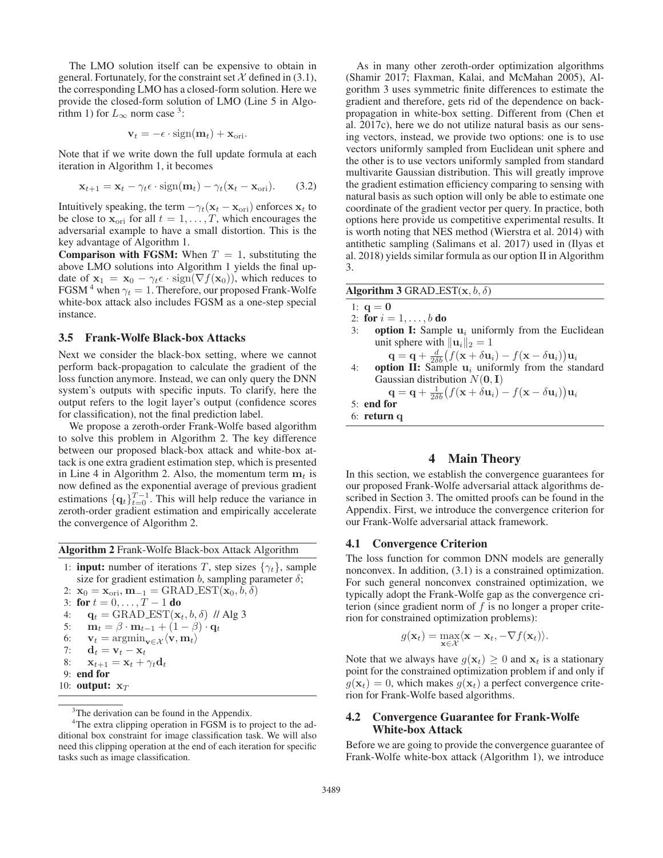The LMO solution itself can be expensive to obtain in general. Fortunately, for the constraint set  $\mathcal X$  defined in (3.1), the corresponding LMO has a closed-form solution. Here we provide the closed-form solution of LMO (Line 5 in Algorithm 1) for  $L_{\infty}$  norm case <sup>3</sup>:

$$
\mathbf{v}_t = -\epsilon \cdot \text{sign}(\mathbf{m}_t) + \mathbf{x}_{\text{ori}}.
$$

Note that if we write down the full update formula at each iteration in Algorithm 1, it becomes

$$
\mathbf{x}_{t+1} = \mathbf{x}_t - \gamma_t \epsilon \cdot \text{sign}(\mathbf{m}_t) - \gamma_t (\mathbf{x}_t - \mathbf{x}_{\text{ori}}). \tag{3.2}
$$

Intuitively speaking, the term  $-\gamma_t(\mathbf{x}_t - \mathbf{x}_{\text{ori}})$  enforces  $\mathbf{x}_t$  to be close to  $\mathbf{x}_{\text{ori}}$  for all  $t = 1, \ldots, T$ , which encourages the adversarial example to have a small distortion. This is the key advantage of Algorithm 1.

**Comparison with FGSM:** When  $T = 1$ , substituting the above LMO solutions into Algorithm 1 yields the final update of  $\mathbf{x}_1 = \mathbf{x}_0 - \gamma_t \epsilon \cdot \text{sign}(\nabla f(\mathbf{x}_0))$ , which reduces to FGSM<sup>4</sup> when  $\gamma_t = 1$ . Therefore, our proposed Frank-Wolfe white-box attack also includes FGSM as a one-step special instance.

# 3.5 Frank-Wolfe Black-box Attacks

Next we consider the black-box setting, where we cannot perform back-propagation to calculate the gradient of the loss function anymore. Instead, we can only query the DNN system's outputs with specific inputs. To clarify, here the output refers to the logit layer's output (confidence scores for classification), not the final prediction label.

We propose a zeroth-order Frank-Wolfe based algorithm to solve this problem in Algorithm 2. The key difference between our proposed black-box attack and white-box attack is one extra gradient estimation step, which is presented in Line 4 in Algorithm 2. Also, the momentum term  $\mathbf{m}_t$  is now defined as the exponential average of previous gradient estimations  $\{\mathbf{q}_t\}_{t=0}^{T-1}$ . This will help reduce the variance in zeroth-order gradient estimation and empirically accelerate the convergence of Algorithm 2.

Algorithm 2 Frank-Wolfe Black-box Attack Algorithm

- 1: **input:** number of iterations T, step sizes  $\{\gamma_t\}$ , sample size for gradient estimation  $b$ , sampling parameter  $\delta$ ;
- 2:  $\mathbf{x}_0 = \mathbf{x}_{\text{ori}}, \mathbf{m}_{-1} = \text{GRAD-EST}(\mathbf{x}_0, b, \delta)$ 3: for  $t = 0, \ldots, T - 1$  do<br>4:  $\alpha_t = \text{GRAD EST}(\mathbf{x})$ 4: **q**<sub>t</sub> = GRAD EST( $\mathbf{x}_t$ ,  $b$ ,  $\delta$ ) // Alg 3<br>5:  $\mathbf{m}_t = \beta \cdot \mathbf{m}_{t-1} + (1 - \beta) \cdot \mathbf{q}_t$ 5:  $\mathbf{m}_t = \beta \cdot \mathbf{m}_{t-1} + (1 - \beta) \cdot \mathbf{q}_t$ <br>6:  $\mathbf{v}_t = \operatorname{argmin}_{\mathbf{v} \in \mathcal{X}} \langle \mathbf{v}, \mathbf{m}_t \rangle$ 6:  $\mathbf{v}_t = \operatorname*{argmin}_{\mathbf{v} \in \mathcal{X}} \langle \mathbf{v}, \mathbf{m}_t \rangle$ <br>7:  $\mathbf{d}_t = \mathbf{v}_t - \mathbf{x}_t$ 7: **d**<sub>t</sub> = **v**<sub>t</sub> − **x**<sub>t</sub><br>8: **x**<sub>t+1</sub> = **x**<sub>t</sub> +  $\prime$  $\mathbf{x}_{t+1} = \mathbf{x}_t + \gamma_t \mathbf{d}_t$
- 9: end for
- 10: **output:**  $\mathbf{x}_T$

As in many other zeroth-order optimization algorithms (Shamir 2017; Flaxman, Kalai, and McMahan 2005), Algorithm 3 uses symmetric finite differences to estimate the gradient and therefore, gets rid of the dependence on backpropagation in white-box setting. Different from (Chen et al. 2017c), here we do not utilize natural basis as our sensing vectors, instead, we provide two options: one is to use vectors uniformly sampled from Euclidean unit sphere and the other is to use vectors uniformly sampled from standard multivarite Gaussian distribution. This will greatly improve the gradient estimation efficiency comparing to sensing with natural basis as such option will only be able to estimate one coordinate of the gradient vector per query. In practice, both options here provide us competitive experimental results. It is worth noting that NES method (Wierstra et al. 2014) with antithetic sampling (Salimans et al. 2017) used in (Ilyas et al. 2018) yields similar formula as our option II in Algorithm 3.

| Algorithm 3 GRAD_EST $(x, b, \delta)$                                                                                                              |
|----------------------------------------------------------------------------------------------------------------------------------------------------|
| 1: $q = 0$                                                                                                                                         |
| 2: for $i = 1, , b$ do                                                                                                                             |
| <b>option I:</b> Sample $u_i$ uniformly from the Euclidean<br>3:                                                                                   |
| unit sphere with $  \mathbf{u}_i  _2 = 1$                                                                                                          |
| $\mathbf{q} = \mathbf{q} + \frac{d}{2\delta h} \big( f(\mathbf{x} + \delta \mathbf{u}_i) - f(\mathbf{x} - \delta \mathbf{u}_i) \big) \mathbf{u}_i$ |
| option II: Sample $\mathbf{u}_i$ uniformly from the standard<br>4:                                                                                 |
| Gaussian distribution $N(\mathbf{0}, \mathbf{I})$                                                                                                  |
| $\mathbf{q} = \mathbf{q} + \frac{1}{2\delta b} \big( f(\mathbf{x} + \delta \mathbf{u}_i) - f(\mathbf{x} - \delta \mathbf{u}_i) \big) \mathbf{u}_i$ |
| $5:$ end for                                                                                                                                       |
| 6: return q                                                                                                                                        |
|                                                                                                                                                    |

## 4 Main Theory

In this section, we establish the convergence guarantees for our proposed Frank-Wolfe adversarial attack algorithms described in Section 3. The omitted proofs can be found in the Appendix. First, we introduce the convergence criterion for our Frank-Wolfe adversarial attack framework.

#### 4.1 Convergence Criterion

The loss function for common DNN models are generally nonconvex. In addition, (3.1) is a constrained optimization. For such general nonconvex constrained optimization, we typically adopt the Frank-Wolfe gap as the convergence criterion (since gradient norm of  $f$  is no longer a proper criterion for constrained optimization problems):

$$
g(\mathbf{x}_t) = \max_{\mathbf{x} \in \mathcal{X}} \langle \mathbf{x} - \mathbf{x}_t, -\nabla f(\mathbf{x}_t) \rangle.
$$

Note that we always have  $g(\mathbf{x}_t) \geq 0$  and  $\mathbf{x}_t$  is a stationary point for the constrained optimization problem if and only if  $g(\mathbf{x}_t)=0$ , which makes  $g(\mathbf{x}_t)$  a perfect convergence criterion for Frank-Wolfe based algorithms.

## 4.2 Convergence Guarantee for Frank-Wolfe White-box Attack

Before we are going to provide the convergence guarantee of Frank-Wolfe white-box attack (Algorithm 1), we introduce

<sup>&</sup>lt;sup>3</sup>The derivation can be found in the Appendix.

<sup>&</sup>lt;sup>4</sup>The extra clipping operation in FGSM is to project to the additional box constraint for image classification task. We will also need this clipping operation at the end of each iteration for specific tasks such as image classification.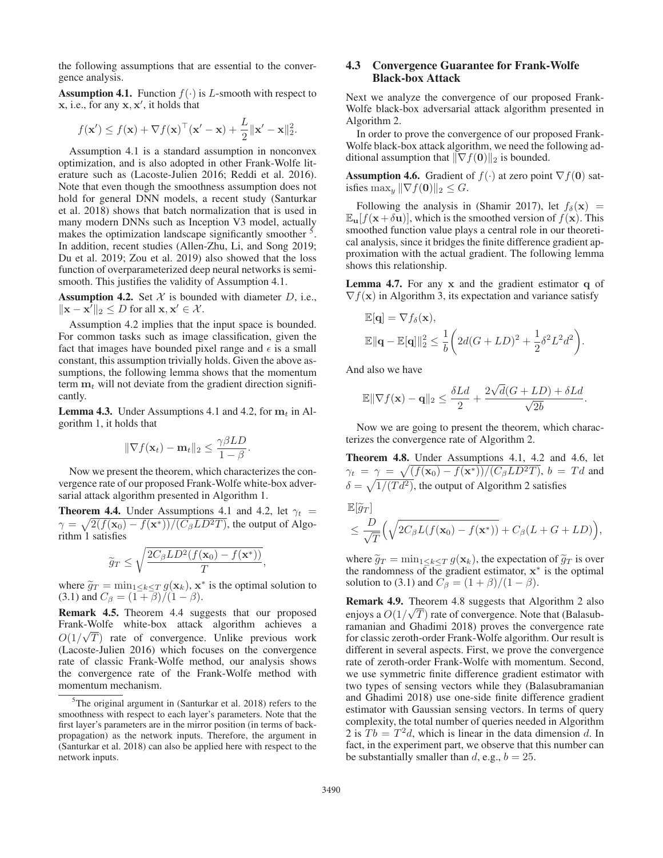the following assumptions that are essential to the convergence analysis.

**Assumption 4.1.** Function  $f(\cdot)$  is L-smooth with respect to  $x$ , i.e., for any  $x$ ,  $x'$ , it holds that

$$
f(\mathbf{x}') \le f(\mathbf{x}) + \nabla f(\mathbf{x})^\top (\mathbf{x}' - \mathbf{x}) + \frac{L}{2} ||\mathbf{x}' - \mathbf{x}||_2^2.
$$
  
Assumption 4.1 is a standard assumption in nonconvex

optimization, and is also adopted in other Frank-Wolfe literature such as (Lacoste-Julien 2016; Reddi et al. 2016). Note that even though the smoothness assumption does not hold for general DNN models, a recent study (Santurkar et al. 2018) shows that batch normalization that is used in many modern DNNs such as Inception V3 model, actually makes the optimization landscape significantly smoother <sup>5</sup>. In addition, recent studies (Allen-Zhu, Li, and Song 2019; Du et al. 2019; Zou et al. 2019) also showed that the loss function of overparameterized deep neural networks is semismooth. This justifies the validity of Assumption 4.1.

Assumption 4.2. Set  $X$  is bounded with diameter  $D$ , i.e.,  $\|\mathbf{x} - \mathbf{x}^T\|_2 \leq D$  for all  $\mathbf{x}, \mathbf{x}' \in \mathcal{X}$ .

Assumption 4.2 implies that the input space is bounded. For common tasks such as image classification, given the fact that images have bounded pixel range and  $\epsilon$  is a small constant, this assumption trivially holds. Given the above assumptions, the following lemma shows that the momentum term  $\mathbf{m}_t$  will not deviate from the gradient direction significantly.

**Lemma 4.3.** Under Assumptions 4.1 and 4.2, for  $m_t$  in Algorithm 1, it holds that

$$
\|\nabla f(\mathbf{x}_t) - \mathbf{m}_t\|_2 \le \frac{\gamma \beta LD}{1 - \beta}
$$

 $\|\nabla f(\mathbf{x}_t) - \mathbf{m}_t\|_2 \le \frac{P}{1-\beta}.$ <br>Now we present the theorem, which characterizes the convergence rate of our proposed Frank-Wolfe white-box adversarial attack algorithm presented in Algorithm 1.

**Theorem 4.4.** Under Assumptions 4.1 and 4.2, let  $\gamma_t$  =  $\gamma = \sqrt{2(f(\mathbf{x}_0) - f(\mathbf{x}^*))/(C_{\beta}LD^2T)}$ , the output of Algorithm 1 satisfies

$$
\widetilde{g}_T \le \sqrt{\frac{2C_{\beta}LD^2(f(\mathbf{x}_0) - f(\mathbf{x}^*))}{T}},
$$

where  $\tilde{g}_T = \min_{1 \leq k \leq T} g(\mathbf{x}_k)$ ,  $\mathbf{x}^*$  is the optimal solution to (3.1) and  $C_{\beta} = (1 + \beta)/(1 - \beta)$ .

Remark 4.5. Theorem 4.4 suggests that our proposed Frank-Wolfe white-box attack algorithm achieves a  $O(1/\sqrt{T})$  rate of convergence. Unlike previous work (Lacoste-Julien 2016) which focuses on the convergence (Lacoste-Julien 2016) which focuses on the convergence rate of classic Frank-Wolfe method, our analysis shows the convergence rate of the Frank-Wolfe method with momentum mechanism.

# 4.3 Convergence Guarantee for Frank-Wolfe Black-box Attack

Next we analyze the convergence of our proposed Frank-Wolfe black-box adversarial attack algorithm presented in Algorithm 2.

In order to prove the convergence of our proposed Frank-Wolfe black-box attack algorithm, we need the following additional assumption that  $\|\nabla f(\mathbf{0})\|_2$  is bounded.

**Assumption 4.6.** Gradient of  $f(\cdot)$  at zero point  $\nabla f(\mathbf{0})$  satisfies  $\max_y \|\nabla f(\mathbf{0})\|_2 \leq G.$ 

Following the analysis in (Shamir 2017), let  $f_\delta(\mathbf{x})$  =  $\mathbb{E}_{\mathbf{u}}[f(\mathbf{x}+\delta \mathbf{u})]$ , which is the smoothed version of  $f(\mathbf{x})$ . This smoothed function value plays a central role in our theoretical analysis, since it bridges the finite difference gradient approximation with the actual gradient. The following lemma shows this relationship.

Lemma 4.7. For any **x** and the gradient estimator **q** of  $\nabla f(\mathbf{x})$  in Algorithm 3, its expectation and variance satisfy

$$
\mathbb{E}[\mathbf{q}] = \nabla f_{\delta}(\mathbf{x}),
$$
  

$$
\mathbb{E}||\mathbf{q} - \mathbb{E}[\mathbf{q}]||_2^2 \le \frac{1}{b} \left( 2d(G + LD)^2 + \frac{1}{2} \delta^2 L^2 d^2 \right).
$$

And also we have

$$
\mathbb{E} \|\nabla f(\mathbf{x}) - \mathbf{q}\|_2 \le \frac{\delta Ld}{2} + \frac{2\sqrt{d}(G + LD) + \delta Ld}{\sqrt{2b}}.
$$

Now we are going to present the theorem, which characterizes the convergence rate of Algorithm 2.

Theorem 4.8. Under Assumptions 4.1, 4.2 and 4.6, let  $\gamma_t = \gamma = \sqrt{\frac{f(\mathbf{x}_0) - f(\mathbf{x}^*))}{C_\beta L D^2 T}}$ ,  $b = T d$  and  $\delta = \sqrt{1/(Td^2)}$ , the output of Algorithm 2 satisfies

$$
\mathbb{E}[\widetilde{g}_T] \le \frac{D}{\sqrt{T}} \Big( \sqrt{2C_{\beta}L(f(\mathbf{x}_0) - f(\mathbf{x}^*))} + C_{\beta}(L + G + LD) \Big),
$$

where  $\tilde{g}_T = \min_{1 \leq k \leq T} g(\mathbf{x}_k)$ , the expectation of  $\tilde{g}_T$  is over the randomness of the gradient estimator, **x**<sup>∗</sup> is the optimal solution to (3.1) and  $C_{\beta} = (1 + \beta)/(1 - \beta)$ .

**Remark 4.9.** Theorem 4.8 suggests that Algorithm 2 also enjoys a  $O(1/\sqrt{T})$  rate of convergence. Note that (Balasub-<br>ramanian and Ghadimi 2018) proves the convergence rate ramanian and Ghadimi 2018) proves the convergence rate for classic zeroth-order Frank-Wolfe algorithm. Our result is different in several aspects. First, we prove the convergence rate of zeroth-order Frank-Wolfe with momentum. Second, we use symmetric finite difference gradient estimator with two types of sensing vectors while they (Balasubramanian and Ghadimi 2018) use one-side finite difference gradient estimator with Gaussian sensing vectors. In terms of query complexity, the total number of queries needed in Algorithm 2 is  $Tb = T<sup>2</sup>d$ , which is linear in the data dimension d. In fact, in the experiment part, we observe that this number can be substantially smaller than  $d$ , e.g.,  $b = 25$ .

<sup>&</sup>lt;sup>5</sup>The original argument in (Santurkar et al. 2018) refers to the smoothness with respect to each layer's parameters. Note that the first layer's parameters are in the mirror position (in terms of backpropagation) as the network inputs. Therefore, the argument in (Santurkar et al. 2018) can also be applied here with respect to the network inputs.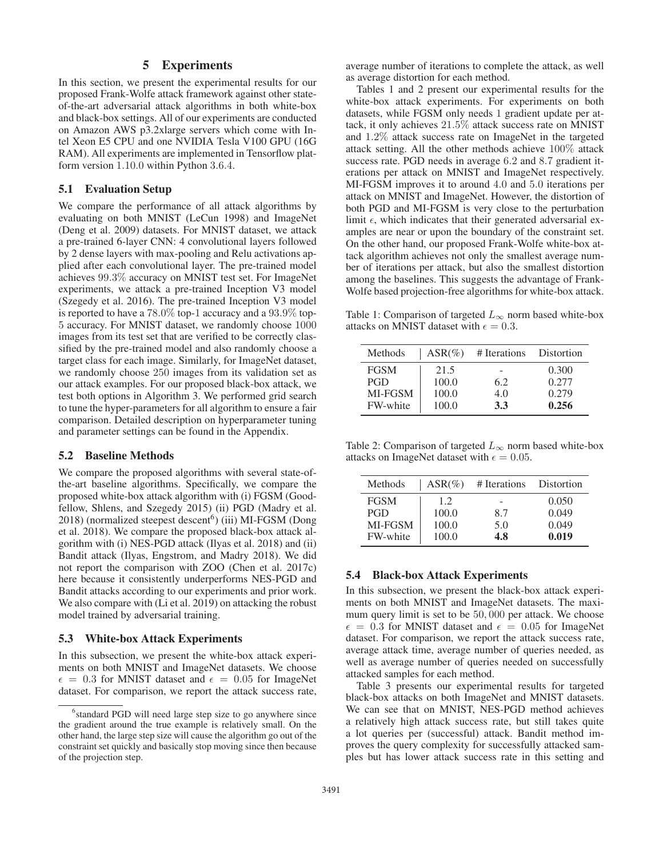# 5 Experiments

In this section, we present the experimental results for our proposed Frank-Wolfe attack framework against other stateof-the-art adversarial attack algorithms in both white-box and black-box settings. All of our experiments are conducted on Amazon AWS p3.2xlarge servers which come with Intel Xeon E5 CPU and one NVIDIA Tesla V100 GPU (16G RAM). All experiments are implemented in Tensorflow platform version 1.10.0 within Python 3.6.4.

#### 5.1 Evaluation Setup

We compare the performance of all attack algorithms by evaluating on both MNIST (LeCun 1998) and ImageNet (Deng et al. 2009) datasets. For MNIST dataset, we attack a pre-trained 6-layer CNN: 4 convolutional layers followed by 2 dense layers with max-pooling and Relu activations applied after each convolutional layer. The pre-trained model achieves 99.3% accuracy on MNIST test set. For ImageNet experiments, we attack a pre-trained Inception V3 model (Szegedy et al. 2016). The pre-trained Inception V3 model is reported to have a 78.0% top-1 accuracy and a 93.9% top-5 accuracy. For MNIST dataset, we randomly choose 1000 images from its test set that are verified to be correctly classified by the pre-trained model and also randomly choose a target class for each image. Similarly, for ImageNet dataset, we randomly choose 250 images from its validation set as our attack examples. For our proposed black-box attack, we test both options in Algorithm 3. We performed grid search to tune the hyper-parameters for all algorithm to ensure a fair comparison. Detailed description on hyperparameter tuning and parameter settings can be found in the Appendix.

#### 5.2 Baseline Methods

We compare the proposed algorithms with several state-ofthe-art baseline algorithms. Specifically, we compare the proposed white-box attack algorithm with (i) FGSM (Goodfellow, Shlens, and Szegedy 2015) (ii) PGD (Madry et al.  $2018$ ) (normalized steepest descent<sup>6</sup>) (iii) MI-FGSM (Dong et al. 2018). We compare the proposed black-box attack algorithm with (i) NES-PGD attack (Ilyas et al. 2018) and (ii) Bandit attack (Ilyas, Engstrom, and Madry 2018). We did not report the comparison with ZOO (Chen et al. 2017c) here because it consistently underperforms NES-PGD and Bandit attacks according to our experiments and prior work. We also compare with (Li et al. 2019) on attacking the robust model trained by adversarial training.

#### 5.3 White-box Attack Experiments

In this subsection, we present the white-box attack experiments on both MNIST and ImageNet datasets. We choose  $\epsilon$  = 0.3 for MNIST dataset and  $\epsilon$  = 0.05 for ImageNet dataset. For comparison, we report the attack success rate,

average number of iterations to complete the attack, as well as average distortion for each method.

Tables 1 and 2 present our experimental results for the white-box attack experiments. For experiments on both datasets, while FGSM only needs 1 gradient update per attack, it only achieves 21.5% attack success rate on MNIST and 1.2% attack success rate on ImageNet in the targeted attack setting. All the other methods achieve 100% attack success rate. PGD needs in average 6.2 and 8.7 gradient iterations per attack on MNIST and ImageNet respectively. MI-FGSM improves it to around 4.0 and 5.0 iterations per attack on MNIST and ImageNet. However, the distortion of both PGD and MI-FGSM is very close to the perturbation limit  $\epsilon$ , which indicates that their generated adversarial examples are near or upon the boundary of the constraint set. On the other hand, our proposed Frank-Wolfe white-box attack algorithm achieves not only the smallest average number of iterations per attack, but also the smallest distortion among the baselines. This suggests the advantage of Frank-Wolfe based projection-free algorithms for white-box attack.

Table 1: Comparison of targeted  $L_{\infty}$  norm based white-box attacks on MNIST dataset with  $\epsilon = 0.3$ .

| Methods     | $ASR(\%)$ | # Iterations             | Distortion |
|-------------|-----------|--------------------------|------------|
| <b>FGSM</b> | 21.5      | $\overline{\phantom{a}}$ | 0.300      |
| <b>PGD</b>  | 100.0     | 6.2                      | 0.277      |
| MI-FGSM     | 100.0     | 4.0                      | 0.279      |
| FW-white    | 100.0     | 3.3                      | 0.256      |

Table 2: Comparison of targeted  $L_{\infty}$  norm based white-box attacks on ImageNet dataset with  $\epsilon = 0.05$ .

| Methods     | $ASR(\%)$ | # Iterations | Distortion |
|-------------|-----------|--------------|------------|
| <b>FGSM</b> | 12        |              | 0.050      |
| <b>PGD</b>  | 100.0     | 8.7          | 0.049      |
| MI-FGSM     | 100.0     | 5.0          | 0.049      |
| FW-white    | 100.0     | 1.8          | 0.019      |

#### 5.4 Black-box Attack Experiments

In this subsection, we present the black-box attack experiments on both MNIST and ImageNet datasets. The maximum query limit is set to be 50, 000 per attack. We choose  $\epsilon$  = 0.3 for MNIST dataset and  $\epsilon$  = 0.05 for ImageNet dataset. For comparison, we report the attack success rate, average attack time, average number of queries needed, as well as average number of queries needed on successfully attacked samples for each method.

Table 3 presents our experimental results for targeted black-box attacks on both ImageNet and MNIST datasets. We can see that on MNIST, NES-PGD method achieves a relatively high attack success rate, but still takes quite a lot queries per (successful) attack. Bandit method improves the query complexity for successfully attacked samples but has lower attack success rate in this setting and

<sup>&</sup>lt;sup>6</sup>standard PGD will need large step size to go anywhere since the gradient around the true example is relatively small. On the other hand, the large step size will cause the algorithm go out of the constraint set quickly and basically stop moving since then because of the projection step.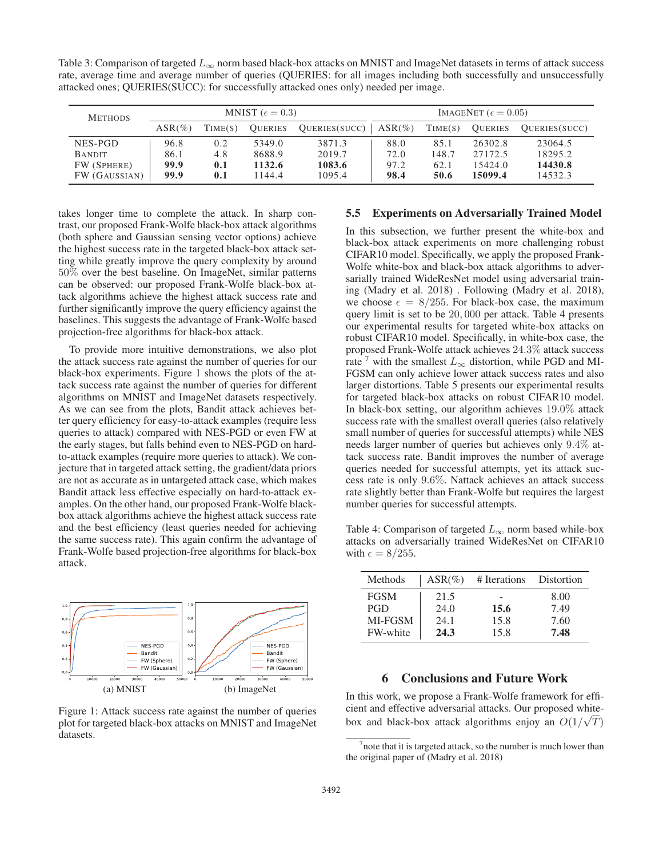Table 3: Comparison of targeted  $L_{\infty}$  norm based black-box attacks on MNIST and ImageNet datasets in terms of attack success rate, average time and average number of queries (QUERIES: for all images including both successfully and unsuccessfully attacked ones; QUERIES(SUCC): for successfully attacked ones only) needed per image.

| MNIST ( $\epsilon = 0.3$ )<br><b>METHODS</b> |           | IMAGENET ( $\epsilon = 0.05$ ) |                |               |           |         |                |                |
|----------------------------------------------|-----------|--------------------------------|----------------|---------------|-----------|---------|----------------|----------------|
|                                              | $ASR(\%)$ | TIME(S)                        | <b>OUERIES</b> | QUERIES(SUCC) | $ASR(\%)$ | TIME(S) | <b>OUERIES</b> | QUERIES (SUCC) |
| NES-PGD                                      | 96.8      | 0.2                            | 5349.0         | 3871.3        | 88.0      | 85.1    | 26302.8        | 23064.5        |
| <b>BANDIT</b>                                | 86.1      | 4.8                            | 8688.9         | 2019.7        | 72.0      | 148.7   | 27172.5        | 18295.2        |
| FW (SPHERE)                                  | 99.9      | 0.1                            | 1132.6         | 1083.6        | 97.2      | 62.1    | 15424.0        | 14430.8        |
| FW (GAUSSIAN)                                | 99.9      | 0.1                            | 144.4          | 1095.4        | 98.4      | 50.6    | 15099.4        | 14532.3        |

takes longer time to complete the attack. In sharp contrast, our proposed Frank-Wolfe black-box attack algorithms (both sphere and Gaussian sensing vector options) achieve the highest success rate in the targeted black-box attack setting while greatly improve the query complexity by around 50% over the best baseline. On ImageNet, similar patterns can be observed: our proposed Frank-Wolfe black-box attack algorithms achieve the highest attack success rate and further significantly improve the query efficiency against the baselines. This suggests the advantage of Frank-Wolfe based projection-free algorithms for black-box attack.

To provide more intuitive demonstrations, we also plot the attack success rate against the number of queries for our black-box experiments. Figure 1 shows the plots of the attack success rate against the number of queries for different algorithms on MNIST and ImageNet datasets respectively. As we can see from the plots, Bandit attack achieves better query efficiency for easy-to-attack examples (require less queries to attack) compared with NES-PGD or even FW at the early stages, but falls behind even to NES-PGD on hardto-attack examples (require more queries to attack). We conjecture that in targeted attack setting, the gradient/data priors are not as accurate as in untargeted attack case, which makes Bandit attack less effective especially on hard-to-attack examples. On the other hand, our proposed Frank-Wolfe blackbox attack algorithms achieve the highest attack success rate and the best efficiency (least queries needed for achieving the same success rate). This again confirm the advantage of Frank-Wolfe based projection-free algorithms for black-box attack.



Figure 1: Attack success rate against the number of queries plot for targeted black-box attacks on MNIST and ImageNet datasets.

#### 5.5 Experiments on Adversarially Trained Model

In this subsection, we further present the white-box and black-box attack experiments on more challenging robust CIFAR10 model. Specifically, we apply the proposed Frank-Wolfe white-box and black-box attack algorithms to adversarially trained WideResNet model using adversarial training (Madry et al. 2018) . Following (Madry et al. 2018), we choose  $\epsilon = 8/255$ . For black-box case, the maximum query limit is set to be 20, 000 per attack. Table 4 presents our experimental results for targeted white-box attacks on robust CIFAR10 model. Specifically, in white-box case, the proposed Frank-Wolfe attack achieves 24.3% attack success rate  $\frac{7}{1}$  with the smallest  $L_{\infty}$  distortion, while PGD and MI-FGSM can only achieve lower attack success rates and also larger distortions. Table 5 presents our experimental results for targeted black-box attacks on robust CIFAR10 model. In black-box setting, our algorithm achieves 19.0% attack success rate with the smallest overall queries (also relatively small number of queries for successful attempts) while NES needs larger number of queries but achieves only 9.4% attack success rate. Bandit improves the number of average queries needed for successful attempts, yet its attack success rate is only 9.6%. Nattack achieves an attack success rate slightly better than Frank-Wolfe but requires the largest number queries for successful attempts.

Table 4: Comparison of targeted  $L_{\infty}$  norm based while-box attacks on adversarially trained WideResNet on CIFAR10 with  $\epsilon = 8/255$ .

| Methods     | $ASR(\%)$ | # Iterations | Distortion |
|-------------|-----------|--------------|------------|
| <b>FGSM</b> | 21.5      |              | 8.00       |
| <b>PGD</b>  | 24.0      | 15.6         | 7.49       |
| MI-FGSM     | 24.1      | 15.8         | 7.60       |
| FW-white    | 24.3      | 15.8         | 7.48       |

# 6 Conclusions and Future Work

In this work, we propose a Frank-Wolfe framework for efficient and effective adversarial attacks. Our proposed whitebox and black-box attack algorithms enjoy an  $O(1/\sqrt{T})$ 

 $<sup>7</sup>$  note that it is targeted attack, so the number is much lower than</sup> the original paper of (Madry et al. 2018)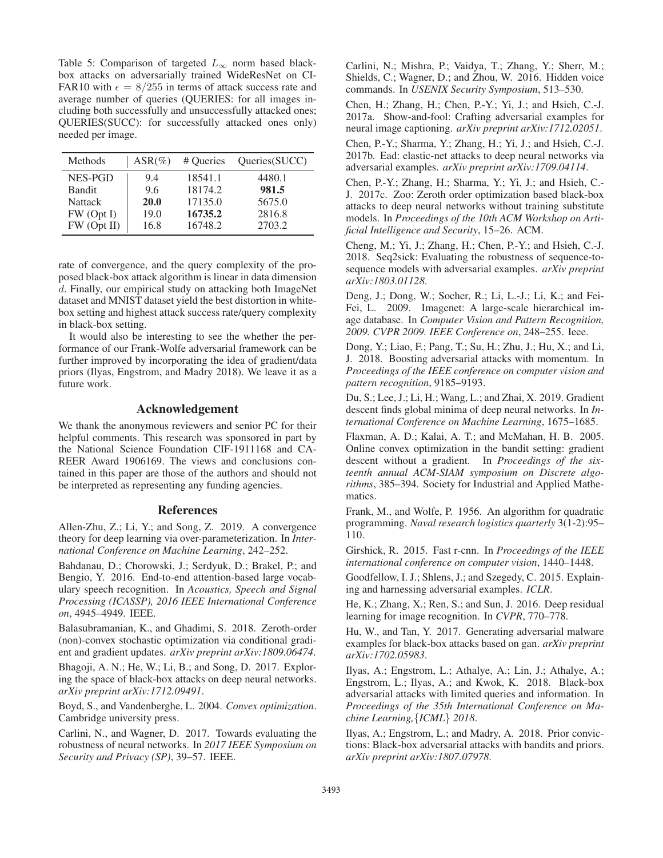Table 5: Comparison of targeted  $L_{\infty}$  norm based blackbox attacks on adversarially trained WideResNet on CI-FAR10 with  $\epsilon = 8/255$  in terms of attack success rate and average number of queries (QUERIES: for all images including both successfully and unsuccessfully attacked ones; QUERIES(SUCC): for successfully attacked ones only) needed per image.

| Methods        | $ASR(\%)$   | # Queries | Queries (SUCC) |
|----------------|-------------|-----------|----------------|
| NES-PGD        | 9.4         | 18541.1   | 4480.1         |
| <b>Bandit</b>  | 9.6         | 18174.2   | 981.5          |
| <b>Nattack</b> | <b>20.0</b> | 17135.0   | 5675.0         |
| FW (Opt I)     | 19.0        | 16735.2   | 2816.8         |
| FW (Opt II)    | 16.8        | 16748.2   | 2703.2         |

rate of convergence, and the query complexity of the proposed black-box attack algorithm is linear in data dimension d. Finally, our empirical study on attacking both ImageNet dataset and MNIST dataset yield the best distortion in whitebox setting and highest attack success rate/query complexity in black-box setting.

It would also be interesting to see the whether the performance of our Frank-Wolfe adversarial framework can be further improved by incorporating the idea of gradient/data priors (Ilyas, Engstrom, and Madry 2018). We leave it as a future work.

## Acknowledgement

We thank the anonymous reviewers and senior PC for their helpful comments. This research was sponsored in part by the National Science Foundation CIF-1911168 and CA-REER Award 1906169. The views and conclusions contained in this paper are those of the authors and should not be interpreted as representing any funding agencies.

#### References

Allen-Zhu, Z.; Li, Y.; and Song, Z. 2019. A convergence theory for deep learning via over-parameterization. In *International Conference on Machine Learning*, 242–252.

Bahdanau, D.; Chorowski, J.; Serdyuk, D.; Brakel, P.; and Bengio, Y. 2016. End-to-end attention-based large vocabulary speech recognition. In *Acoustics, Speech and Signal Processing (ICASSP), 2016 IEEE International Conference on*, 4945–4949. IEEE.

Balasubramanian, K., and Ghadimi, S. 2018. Zeroth-order (non)-convex stochastic optimization via conditional gradient and gradient updates. *arXiv preprint arXiv:1809.06474*.

Bhagoji, A. N.; He, W.; Li, B.; and Song, D. 2017. Exploring the space of black-box attacks on deep neural networks. *arXiv preprint arXiv:1712.09491*.

Boyd, S., and Vandenberghe, L. 2004. *Convex optimization*. Cambridge university press.

Carlini, N., and Wagner, D. 2017. Towards evaluating the robustness of neural networks. In *2017 IEEE Symposium on Security and Privacy (SP)*, 39–57. IEEE.

Carlini, N.; Mishra, P.; Vaidya, T.; Zhang, Y.; Sherr, M.; Shields, C.; Wagner, D.; and Zhou, W. 2016. Hidden voice commands. In *USENIX Security Symposium*, 513–530.

Chen, H.; Zhang, H.; Chen, P.-Y.; Yi, J.; and Hsieh, C.-J. 2017a. Show-and-fool: Crafting adversarial examples for neural image captioning. *arXiv preprint arXiv:1712.02051*.

Chen, P.-Y.; Sharma, Y.; Zhang, H.; Yi, J.; and Hsieh, C.-J. 2017b. Ead: elastic-net attacks to deep neural networks via adversarial examples. *arXiv preprint arXiv:1709.04114*.

Chen, P.-Y.; Zhang, H.; Sharma, Y.; Yi, J.; and Hsieh, C.- J. 2017c. Zoo: Zeroth order optimization based black-box attacks to deep neural networks without training substitute models. In *Proceedings of the 10th ACM Workshop on Artificial Intelligence and Security*, 15–26. ACM.

Cheng, M.; Yi, J.; Zhang, H.; Chen, P.-Y.; and Hsieh, C.-J. 2018. Seq2sick: Evaluating the robustness of sequence-tosequence models with adversarial examples. *arXiv preprint arXiv:1803.01128*.

Deng, J.; Dong, W.; Socher, R.; Li, L.-J.; Li, K.; and Fei-Fei, L. 2009. Imagenet: A large-scale hierarchical image database. In *Computer Vision and Pattern Recognition, 2009. CVPR 2009. IEEE Conference on*, 248–255. Ieee.

Dong, Y.; Liao, F.; Pang, T.; Su, H.; Zhu, J.; Hu, X.; and Li, J. 2018. Boosting adversarial attacks with momentum. In *Proceedings of the IEEE conference on computer vision and pattern recognition*, 9185–9193.

Du, S.; Lee, J.; Li, H.; Wang, L.; and Zhai, X. 2019. Gradient descent finds global minima of deep neural networks. In *International Conference on Machine Learning*, 1675–1685.

Flaxman, A. D.; Kalai, A. T.; and McMahan, H. B. 2005. Online convex optimization in the bandit setting: gradient descent without a gradient. In *Proceedings of the sixteenth annual ACM-SIAM symposium on Discrete algorithms*, 385–394. Society for Industrial and Applied Mathematics.

Frank, M., and Wolfe, P. 1956. An algorithm for quadratic programming. *Naval research logistics quarterly* 3(1-2):95– 110.

Girshick, R. 2015. Fast r-cnn. In *Proceedings of the IEEE international conference on computer vision*, 1440–1448.

Goodfellow, I. J.; Shlens, J.; and Szegedy, C. 2015. Explaining and harnessing adversarial examples. *ICLR*.

He, K.; Zhang, X.; Ren, S.; and Sun, J. 2016. Deep residual learning for image recognition. In *CVPR*, 770–778.

Hu, W., and Tan, Y. 2017. Generating adversarial malware examples for black-box attacks based on gan. *arXiv preprint arXiv:1702.05983*.

Ilyas, A.; Engstrom, L.; Athalye, A.; Lin, J.; Athalye, A.; Engstrom, L.; Ilyas, A.; and Kwok, K. 2018. Black-box adversarial attacks with limited queries and information. In *Proceedings of the 35th International Conference on Machine Learning,*{*ICML*} *2018*.

Ilyas, A.; Engstrom, L.; and Madry, A. 2018. Prior convictions: Black-box adversarial attacks with bandits and priors. *arXiv preprint arXiv:1807.07978*.